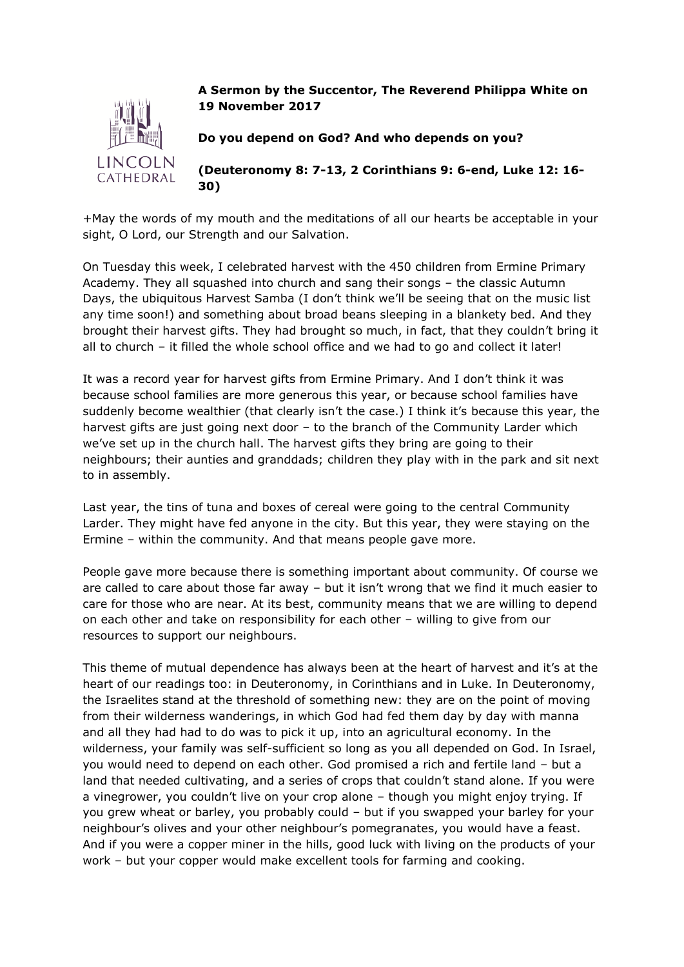

## **A Sermon by the Succentor, The Reverend Philippa White on 19 November 2017**

**Do you depend on God? And who depends on you?**

**(Deuteronomy 8: 7-13, 2 Corinthians 9: 6-end, Luke 12: 16- 30)**

+May the words of my mouth and the meditations of all our hearts be acceptable in your sight, O Lord, our Strength and our Salvation.

On Tuesday this week, I celebrated harvest with the 450 children from Ermine Primary Academy. They all squashed into church and sang their songs – the classic Autumn Days, the ubiquitous Harvest Samba (I don't think we'll be seeing that on the music list any time soon!) and something about broad beans sleeping in a blankety bed. And they brought their harvest gifts. They had brought so much, in fact, that they couldn't bring it all to church – it filled the whole school office and we had to go and collect it later!

It was a record year for harvest gifts from Ermine Primary. And I don't think it was because school families are more generous this year, or because school families have suddenly become wealthier (that clearly isn't the case.) I think it's because this year, the harvest gifts are just going next door – to the branch of the Community Larder which we've set up in the church hall. The harvest gifts they bring are going to their neighbours; their aunties and granddads; children they play with in the park and sit next to in assembly.

Last year, the tins of tuna and boxes of cereal were going to the central Community Larder. They might have fed anyone in the city. But this year, they were staying on the Ermine – within the community. And that means people gave more.

People gave more because there is something important about community. Of course we are called to care about those far away – but it isn't wrong that we find it much easier to care for those who are near. At its best, community means that we are willing to depend on each other and take on responsibility for each other – willing to give from our resources to support our neighbours.

This theme of mutual dependence has always been at the heart of harvest and it's at the heart of our readings too: in Deuteronomy, in Corinthians and in Luke. In Deuteronomy, the Israelites stand at the threshold of something new: they are on the point of moving from their wilderness wanderings, in which God had fed them day by day with manna and all they had had to do was to pick it up, into an agricultural economy. In the wilderness, your family was self-sufficient so long as you all depended on God. In Israel, you would need to depend on each other. God promised a rich and fertile land – but a land that needed cultivating, and a series of crops that couldn't stand alone. If you were a vinegrower, you couldn't live on your crop alone – though you might enjoy trying. If you grew wheat or barley, you probably could – but if you swapped your barley for your neighbour's olives and your other neighbour's pomegranates, you would have a feast. And if you were a copper miner in the hills, good luck with living on the products of your work – but your copper would make excellent tools for farming and cooking.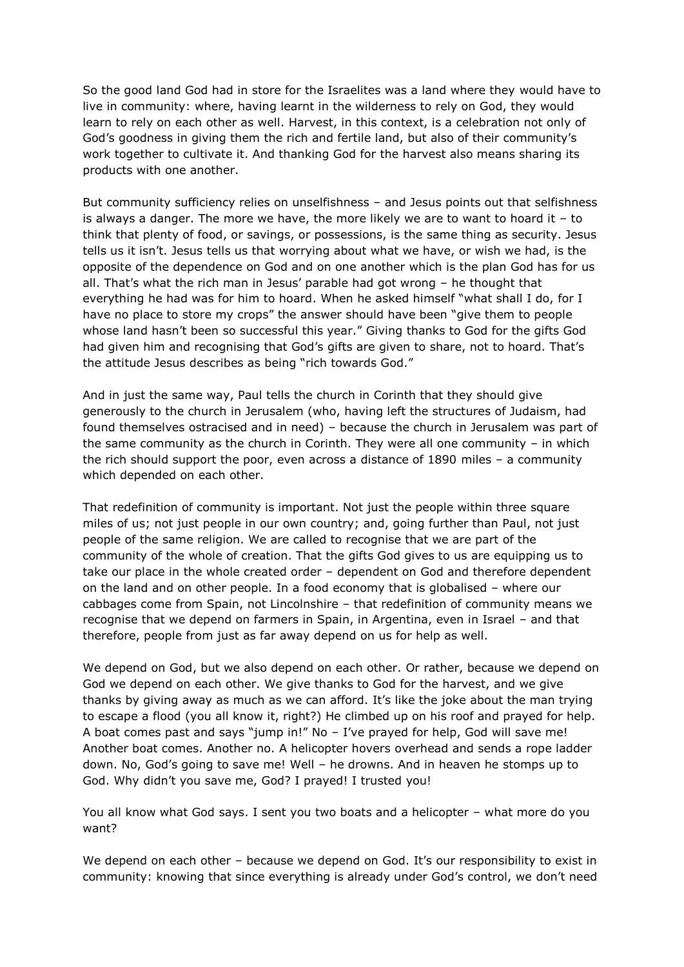So the good land God had in store for the Israelites was a land where they would have to live in community: where, having learnt in the wilderness to rely on God, they would learn to rely on each other as well. Harvest, in this context, is a celebration not only of God's goodness in giving them the rich and fertile land, but also of their community's work together to cultivate it. And thanking God for the harvest also means sharing its products with one another.

But community sufficiency relies on unselfishness – and Jesus points out that selfishness is always a danger. The more we have, the more likely we are to want to hoard it  $-$  to think that plenty of food, or savings, or possessions, is the same thing as security. Jesus tells us it isn't. Jesus tells us that worrying about what we have, or wish we had, is the opposite of the dependence on God and on one another which is the plan God has for us all. That's what the rich man in Jesus' parable had got wrong – he thought that everything he had was for him to hoard. When he asked himself "what shall I do, for I have no place to store my crops" the answer should have been "give them to people whose land hasn't been so successful this year." Giving thanks to God for the gifts God had given him and recognising that God's gifts are given to share, not to hoard. That's the attitude Jesus describes as being "rich towards God."

And in just the same way, Paul tells the church in Corinth that they should give generously to the church in Jerusalem (who, having left the structures of Judaism, had found themselves ostracised and in need) – because the church in Jerusalem was part of the same community as the church in Corinth. They were all one community – in which the rich should support the poor, even across a distance of 1890 miles – a community which depended on each other.

That redefinition of community is important. Not just the people within three square miles of us; not just people in our own country; and, going further than Paul, not just people of the same religion. We are called to recognise that we are part of the community of the whole of creation. That the gifts God gives to us are equipping us to take our place in the whole created order – dependent on God and therefore dependent on the land and on other people. In a food economy that is globalised – where our cabbages come from Spain, not Lincolnshire – that redefinition of community means we recognise that we depend on farmers in Spain, in Argentina, even in Israel – and that therefore, people from just as far away depend on us for help as well.

We depend on God, but we also depend on each other. Or rather, because we depend on God we depend on each other. We give thanks to God for the harvest, and we give thanks by giving away as much as we can afford. It's like the joke about the man trying to escape a flood (you all know it, right?) He climbed up on his roof and prayed for help. A boat comes past and says "jump in!" No – I've prayed for help, God will save me! Another boat comes. Another no. A helicopter hovers overhead and sends a rope ladder down. No, God's going to save me! Well – he drowns. And in heaven he stomps up to God. Why didn't you save me, God? I prayed! I trusted you!

You all know what God says. I sent you two boats and a helicopter – what more do you want?

We depend on each other - because we depend on God. It's our responsibility to exist in community: knowing that since everything is already under God's control, we don't need